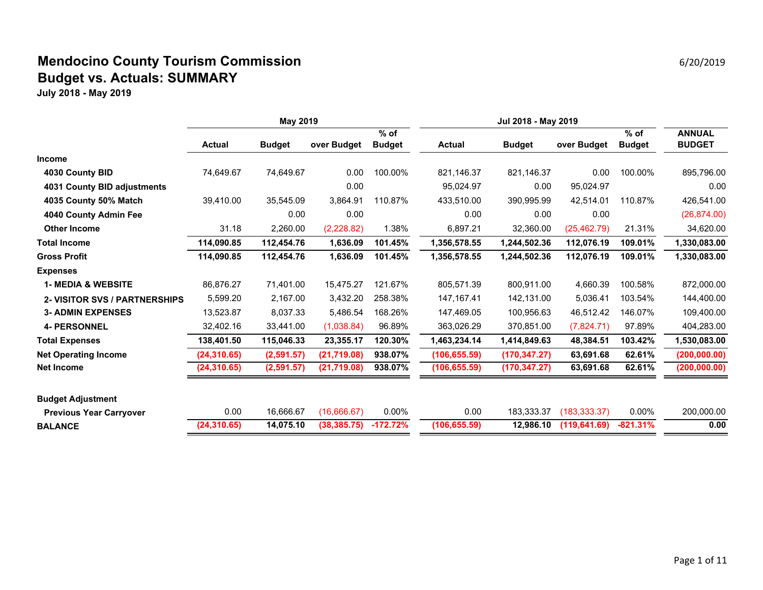## **Mendocino County Tourism Commission** 6/20/2019 **Mendocino County Tourism Commission Budget vs. Actuals: SUMMARY**

|                                      | May 2019      |               |              |               | Jul 2018 - May 2019 |               |               |               |               |
|--------------------------------------|---------------|---------------|--------------|---------------|---------------------|---------------|---------------|---------------|---------------|
|                                      |               |               |              | $%$ of        |                     |               |               | $%$ of        | <b>ANNUAL</b> |
|                                      | <b>Actual</b> | <b>Budget</b> | over Budget  | <b>Budget</b> | <b>Actual</b>       | <b>Budget</b> | over Budget   | <b>Budget</b> | <b>BUDGET</b> |
| <b>Income</b>                        |               |               |              |               |                     |               |               |               |               |
| 4030 County BID                      | 74,649.67     | 74,649.67     | 0.00         | 100.00%       | 821,146.37          | 821,146.37    | 0.00          | 100.00%       | 895,796.00    |
| 4031 County BID adjustments          |               |               | 0.00         |               | 95,024.97           | 0.00          | 95,024.97     |               | 0.00          |
| 4035 County 50% Match                | 39,410.00     | 35,545.09     | 3,864.91     | 110.87%       | 433,510.00          | 390,995.99    | 42,514.01     | 110.87%       | 426,541.00    |
| 4040 County Admin Fee                |               | 0.00          | 0.00         |               | 0.00                | 0.00          | 0.00          |               | (26, 874.00)  |
| <b>Other Income</b>                  | 31.18         | 2,260.00      | (2,228.82)   | 1.38%         | 6,897.21            | 32,360.00     | (25, 462.79)  | 21.31%        | 34,620.00     |
| <b>Total Income</b>                  | 114,090.85    | 112,454.76    | 1,636.09     | 101.45%       | 1,356,578.55        | 1,244,502.36  | 112,076.19    | 109.01%       | 1,330,083.00  |
| <b>Gross Profit</b>                  | 114,090.85    | 112,454.76    | 1,636.09     | 101.45%       | 1,356,578.55        | 1,244,502.36  | 112,076.19    | 109.01%       | 1,330,083.00  |
| <b>Expenses</b>                      |               |               |              |               |                     |               |               |               |               |
| <b>1- MEDIA &amp; WEBSITE</b>        | 86,876.27     | 71,401.00     | 15,475.27    | 121.67%       | 805,571.39          | 800,911.00    | 4,660.39      | 100.58%       | 872,000.00    |
| <b>2- VISITOR SVS / PARTNERSHIPS</b> | 5,599.20      | 2,167.00      | 3,432.20     | 258.38%       | 147, 167. 41        | 142,131.00    | 5,036.41      | 103.54%       | 144,400.00    |
| <b>3- ADMIN EXPENSES</b>             | 13,523.87     | 8,037.33      | 5,486.54     | 168.26%       | 147,469.05          | 100,956.63    | 46,512.42     | 146.07%       | 109,400.00    |
| <b>4- PERSONNEL</b>                  | 32,402.16     | 33,441.00     | (1,038.84)   | 96.89%        | 363,026.29          | 370,851.00    | (7,824.71)    | 97.89%        | 404,283.00    |
| <b>Total Expenses</b>                | 138,401.50    | 115,046.33    | 23,355.17    | 120.30%       | 1,463,234.14        | 1,414,849.63  | 48,384.51     | 103.42%       | 1,530,083.00  |
| <b>Net Operating Income</b>          | (24, 310.65)  | (2,591.57)    | (21, 719.08) | 938.07%       | (106, 655.59)       | (170, 347.27) | 63,691.68     | 62.61%        | (200, 000.00) |
| <b>Net Income</b>                    | (24, 310.65)  | (2,591.57)    | (21, 719.08) | 938.07%       | (106, 655.59)       | (170, 347.27) | 63,691.68     | 62.61%        | (200, 000.00) |
| <b>Budget Adjustment</b>             |               |               |              |               |                     |               |               |               |               |
| <b>Previous Year Carryover</b>       | 0.00          | 16,666.67     | (16,666.67)  | $0.00\%$      | 0.00                | 183,333.37    | (183, 333.37) | $0.00\%$      | 200,000.00    |
| <b>BALANCE</b>                       | (24, 310.65)  | 14,075.10     | (38, 385.75) | $-172.72%$    | (106, 655.59)       | 12,986.10     | (119, 641.69) | $-821.31%$    | 0.00          |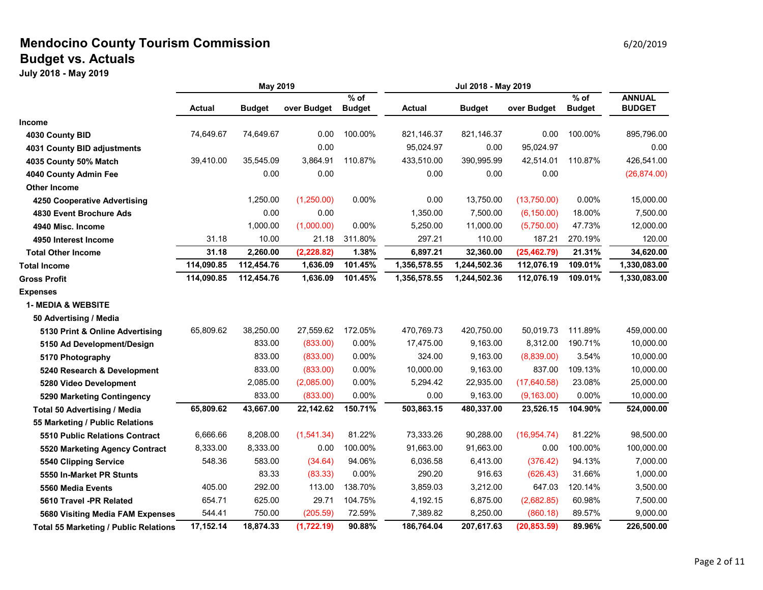### **Mendocino County Tourism Commission Example 20 and Service 20 and Service 20 and Service 20 and Service 20 and Service 20 and Service 20 and Service 20 and Service 20 and Service 20 and Service 20 and Service 20 and Ser Budget vs. Actuals**

|                                              | May 2019   |               |             | Jul 2018 - May 2019     |               |               |              |                         |                                |
|----------------------------------------------|------------|---------------|-------------|-------------------------|---------------|---------------|--------------|-------------------------|--------------------------------|
|                                              | Actual     | <b>Budget</b> | over Budget | $%$ of<br><b>Budget</b> | <b>Actual</b> | <b>Budget</b> | over Budget  | $%$ of<br><b>Budget</b> | <b>ANNUAL</b><br><b>BUDGET</b> |
| <b>Income</b>                                |            |               |             |                         |               |               |              |                         |                                |
| 4030 County BID                              | 74,649.67  | 74,649.67     | 0.00        | 100.00%                 | 821,146.37    | 821,146.37    | 0.00         | 100.00%                 | 895,796.00                     |
| 4031 County BID adjustments                  |            |               | 0.00        |                         | 95,024.97     | 0.00          | 95,024.97    |                         | 0.00                           |
| 4035 County 50% Match                        | 39,410.00  | 35,545.09     | 3,864.91    | 110.87%                 | 433,510.00    | 390,995.99    | 42,514.01    | 110.87%                 | 426,541.00                     |
| 4040 County Admin Fee                        |            | 0.00          | 0.00        |                         | 0.00          | 0.00          | 0.00         |                         | (26, 874.00)                   |
| <b>Other Income</b>                          |            |               |             |                         |               |               |              |                         |                                |
| 4250 Cooperative Advertising                 |            | 1,250.00      | (1,250.00)  | 0.00%                   | 0.00          | 13,750.00     | (13,750.00)  | 0.00%                   | 15,000.00                      |
| 4830 Event Brochure Ads                      |            | 0.00          | 0.00        |                         | 1,350.00      | 7,500.00      | (6, 150.00)  | 18.00%                  | 7,500.00                       |
| 4940 Misc. Income                            |            | 1,000.00      | (1,000.00)  | 0.00%                   | 5,250.00      | 11,000.00     | (5,750.00)   | 47.73%                  | 12,000.00                      |
| 4950 Interest Income                         | 31.18      | 10.00         | 21.18       | 311.80%                 | 297.21        | 110.00        | 187.21       | 270.19%                 | 120.00                         |
| <b>Total Other Income</b>                    | 31.18      | 2,260.00      | (2, 228.82) | 1.38%                   | 6,897.21      | 32,360.00     | (25, 462.79) | 21.31%                  | 34,620.00                      |
| <b>Total Income</b>                          | 114,090.85 | 112,454.76    | 1,636.09    | 101.45%                 | 1,356,578.55  | 1,244,502.36  | 112,076.19   | 109.01%                 | 1,330,083.00                   |
| <b>Gross Profit</b>                          | 114,090.85 | 112,454.76    | 1,636.09    | 101.45%                 | 1,356,578.55  | 1,244,502.36  | 112,076.19   | 109.01%                 | 1,330,083.00                   |
| <b>Expenses</b>                              |            |               |             |                         |               |               |              |                         |                                |
| <b>1- MEDIA &amp; WEBSITE</b>                |            |               |             |                         |               |               |              |                         |                                |
| 50 Advertising / Media                       |            |               |             |                         |               |               |              |                         |                                |
| 5130 Print & Online Advertising              | 65,809.62  | 38,250.00     | 27,559.62   | 172.05%                 | 470,769.73    | 420,750.00    | 50,019.73    | 111.89%                 | 459,000.00                     |
| 5150 Ad Development/Design                   |            | 833.00        | (833.00)    | 0.00%                   | 17,475.00     | 9,163.00      | 8,312.00     | 190.71%                 | 10,000.00                      |
| 5170 Photography                             |            | 833.00        | (833.00)    | 0.00%                   | 324.00        | 9,163.00      | (8,839.00)   | 3.54%                   | 10,000.00                      |
| 5240 Research & Development                  |            | 833.00        | (833.00)    | 0.00%                   | 10,000.00     | 9,163.00      | 837.00       | 109.13%                 | 10,000.00                      |
| 5280 Video Development                       |            | 2,085.00      | (2,085.00)  | 0.00%                   | 5,294.42      | 22,935.00     | (17,640.58)  | 23.08%                  | 25,000.00                      |
| 5290 Marketing Contingency                   |            | 833.00        | (833.00)    | 0.00%                   | 0.00          | 9,163.00      | (9, 163.00)  | 0.00%                   | 10,000.00                      |
| <b>Total 50 Advertising / Media</b>          | 65,809.62  | 43,667.00     | 22,142.62   | 150.71%                 | 503,863.15    | 480,337.00    | 23,526.15    | 104.90%                 | 524,000.00                     |
| 55 Marketing / Public Relations              |            |               |             |                         |               |               |              |                         |                                |
| 5510 Public Relations Contract               | 6,666.66   | 8,208.00      | (1, 541.34) | 81.22%                  | 73,333.26     | 90,288.00     | (16, 954.74) | 81.22%                  | 98,500.00                      |
| 5520 Marketing Agency Contract               | 8,333.00   | 8,333.00      | 0.00        | 100.00%                 | 91,663.00     | 91,663.00     | 0.00         | 100.00%                 | 100,000.00                     |
| 5540 Clipping Service                        | 548.36     | 583.00        | (34.64)     | 94.06%                  | 6,036.58      | 6,413.00      | (376.42)     | 94.13%                  | 7,000.00                       |
| 5550 In-Market PR Stunts                     |            | 83.33         | (83.33)     | 0.00%                   | 290.20        | 916.63        | (626.43)     | 31.66%                  | 1,000.00                       |
| 5560 Media Events                            | 405.00     | 292.00        | 113.00      | 138.70%                 | 3,859.03      | 3,212.00      | 647.03       | 120.14%                 | 3,500.00                       |
| 5610 Travel -PR Related                      | 654.71     | 625.00        | 29.71       | 104.75%                 | 4,192.15      | 6,875.00      | (2,682.85)   | 60.98%                  | 7,500.00                       |
| 5680 Visiting Media FAM Expenses             | 544.41     | 750.00        | (205.59)    | 72.59%                  | 7,389.82      | 8,250.00      | (860.18)     | 89.57%                  | 9,000.00                       |
| <b>Total 55 Marketing / Public Relations</b> | 17,152.14  | 18,874.33     | (1,722.19)  | 90.88%                  | 186,764.04    | 207,617.63    | (20, 853.59) | 89.96%                  | 226,500.00                     |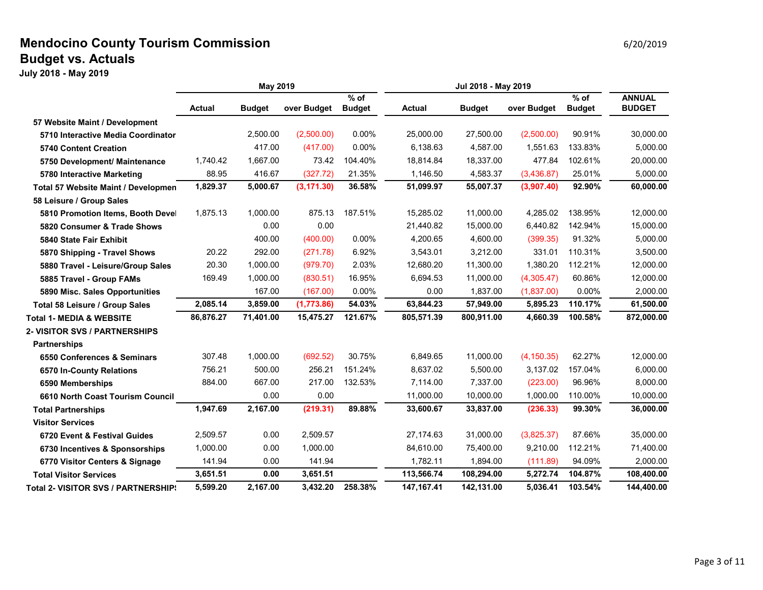### **Mendocino County Tourism Commission Example 2012019** 6/20/2019 **Budget vs. Actuals**

|                                      | May 2019      |               |             | Jul 2018 - May 2019     |               |               |             |                         |                                |
|--------------------------------------|---------------|---------------|-------------|-------------------------|---------------|---------------|-------------|-------------------------|--------------------------------|
|                                      | <b>Actual</b> | <b>Budget</b> | over Budget | $%$ of<br><b>Budget</b> | <b>Actual</b> | <b>Budget</b> | over Budget | $%$ of<br><b>Budget</b> | <b>ANNUAL</b><br><b>BUDGET</b> |
| 57 Website Maint / Development       |               |               |             |                         |               |               |             |                         |                                |
| 5710 Interactive Media Coordinator   |               | 2,500.00      | (2,500.00)  | 0.00%                   | 25.000.00     | 27.500.00     | (2,500.00)  | 90.91%                  | 30,000.00                      |
| <b>5740 Content Creation</b>         |               | 417.00        | (417.00)    | 0.00%                   | 6,138.63      | 4,587.00      | 1,551.63    | 133.83%                 | 5,000.00                       |
| 5750 Development/ Maintenance        | 1,740.42      | 1,667.00      | 73.42       | 104.40%                 | 18,814.84     | 18,337.00     | 477.84      | 102.61%                 | 20,000.00                      |
| 5780 Interactive Marketing           | 88.95         | 416.67        | (327.72)    | 21.35%                  | 1.146.50      | 4,583.37      | (3,436.87)  | 25.01%                  | 5,000.00                       |
| Total 57 Website Maint / Developmen  | 1,829.37      | 5,000.67      | (3, 171.30) | 36.58%                  | 51,099.97     | 55,007.37     | (3,907.40)  | 92.90%                  | 60,000.00                      |
| 58 Leisure / Group Sales             |               |               |             |                         |               |               |             |                         |                                |
| 5810 Promotion Items, Booth Devel    | 1,875.13      | 1,000.00      | 875.13      | 187.51%                 | 15,285.02     | 11,000.00     | 4,285.02    | 138.95%                 | 12,000.00                      |
| 5820 Consumer & Trade Shows          |               | 0.00          | 0.00        |                         | 21,440.82     | 15,000.00     | 6,440.82    | 142.94%                 | 15,000.00                      |
| 5840 State Fair Exhibit              |               | 400.00        | (400.00)    | 0.00%                   | 4,200.65      | 4,600.00      | (399.35)    | 91.32%                  | 5,000.00                       |
| 5870 Shipping - Travel Shows         | 20.22         | 292.00        | (271.78)    | 6.92%                   | 3,543.01      | 3,212.00      | 331.01      | 110.31%                 | 3,500.00                       |
| 5880 Travel - Leisure/Group Sales    | 20.30         | 1,000.00      | (979.70)    | 2.03%                   | 12,680.20     | 11,300.00     | 1,380.20    | 112.21%                 | 12,000.00                      |
| 5885 Travel - Group FAMs             | 169.49        | 1,000.00      | (830.51)    | 16.95%                  | 6,694.53      | 11,000.00     | (4,305.47)  | 60.86%                  | 12,000.00                      |
| 5890 Misc. Sales Opportunities       |               | 167.00        | (167.00)    | 0.00%                   | 0.00          | 1,837.00      | (1,837.00)  | 0.00%                   | 2,000.00                       |
| Total 58 Leisure / Group Sales       | 2,085.14      | 3,859.00      | (1,773.86)  | 54.03%                  | 63,844.23     | 57,949.00     | 5,895.23    | 110.17%                 | 61,500.00                      |
| <b>Total 1- MEDIA &amp; WEBSITE</b>  | 86,876.27     | 71,401.00     | 15,475.27   | 121.67%                 | 805,571.39    | 800,911.00    | 4,660.39    | 100.58%                 | 872,000.00                     |
| <b>2- VISITOR SVS / PARTNERSHIPS</b> |               |               |             |                         |               |               |             |                         |                                |
| <b>Partnerships</b>                  |               |               |             |                         |               |               |             |                         |                                |
| 6550 Conferences & Seminars          | 307.48        | 1,000.00      | (692.52)    | 30.75%                  | 6,849.65      | 11,000.00     | (4, 150.35) | 62.27%                  | 12,000.00                      |
| 6570 In-County Relations             | 756.21        | 500.00        | 256.21      | 151.24%                 | 8,637.02      | 5,500.00      | 3,137.02    | 157.04%                 | 6,000.00                       |
| 6590 Memberships                     | 884.00        | 667.00        | 217.00      | 132.53%                 | 7,114.00      | 7,337.00      | (223.00)    | 96.96%                  | 8,000.00                       |
| 6610 North Coast Tourism Council     |               | 0.00          | 0.00        |                         | 11.000.00     | 10.000.00     | 1.000.00    | 110.00%                 | 10,000.00                      |
| <b>Total Partnerships</b>            | 1,947.69      | 2,167.00      | (219.31)    | 89.88%                  | 33,600.67     | 33,837.00     | (236.33)    | 99.30%                  | 36,000.00                      |
| <b>Visitor Services</b>              |               |               |             |                         |               |               |             |                         |                                |
| 6720 Event & Festival Guides         | 2,509.57      | 0.00          | 2,509.57    |                         | 27,174.63     | 31,000.00     | (3,825.37)  | 87.66%                  | 35,000.00                      |
| 6730 Incentives & Sponsorships       | 1,000.00      | 0.00          | 1,000.00    |                         | 84,610.00     | 75,400.00     | 9,210.00    | 112.21%                 | 71,400.00                      |
| 6770 Visitor Centers & Signage       | 141.94        | 0.00          | 141.94      |                         | 1,782.11      | 1,894.00      | (111.89)    | 94.09%                  | 2,000.00                       |
| <b>Total Visitor Services</b>        | 3,651.51      | 0.00          | 3,651.51    |                         | 113,566.74    | 108,294.00    | 5,272.74    | 104.87%                 | 108,400.00                     |
| Total 2- VISITOR SVS / PARTNERSHIPS  | 5,599.20      | 2.167.00      | 3,432.20    | 258.38%                 | 147, 167. 41  | 142,131.00    | 5.036.41    | 103.54%                 | 144,400.00                     |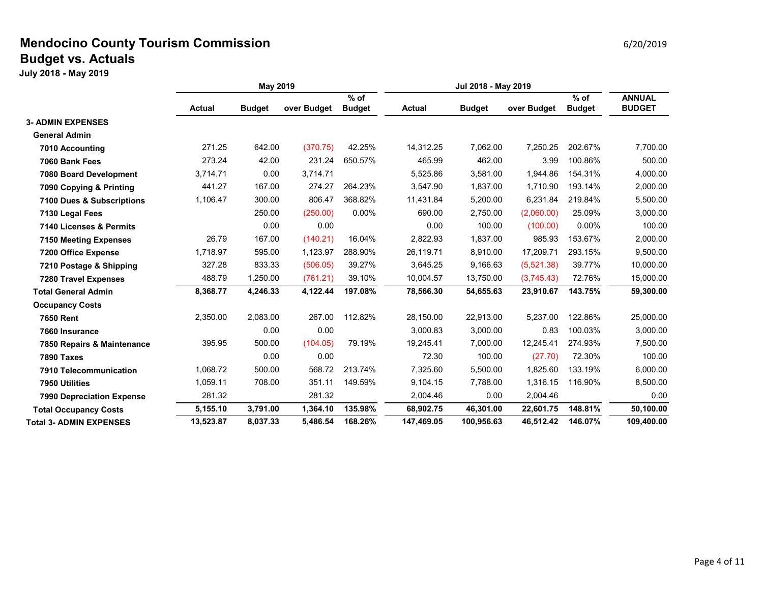#### **Mendocino County Tourism Commission Example 20 and Service 20 and Service 20 and Service 20 and Service 2012019 Budget vs. Actuals**

|                                  | <b>May 2019</b> |               |             | Jul 2018 - May 2019     |               |               |             |                         |                                |
|----------------------------------|-----------------|---------------|-------------|-------------------------|---------------|---------------|-------------|-------------------------|--------------------------------|
|                                  | <b>Actual</b>   | <b>Budget</b> | over Budget | $%$ of<br><b>Budget</b> | <b>Actual</b> | <b>Budget</b> | over Budget | $%$ of<br><b>Budget</b> | <b>ANNUAL</b><br><b>BUDGET</b> |
| <b>3- ADMIN EXPENSES</b>         |                 |               |             |                         |               |               |             |                         |                                |
| <b>General Admin</b>             |                 |               |             |                         |               |               |             |                         |                                |
| 7010 Accounting                  | 271.25          | 642.00        | (370.75)    | 42.25%                  | 14,312.25     | 7,062.00      | 7,250.25    | 202.67%                 | 7,700.00                       |
| 7060 Bank Fees                   | 273.24          | 42.00         | 231.24      | 650.57%                 | 465.99        | 462.00        | 3.99        | 100.86%                 | 500.00                         |
| 7080 Board Development           | 3,714.71        | 0.00          | 3,714.71    |                         | 5,525.86      | 3,581.00      | 1,944.86    | 154.31%                 | 4,000.00                       |
| 7090 Copying & Printing          | 441.27          | 167.00        | 274.27      | 264.23%                 | 3,547.90      | 1,837.00      | 1,710.90    | 193.14%                 | 2,000.00                       |
| 7100 Dues & Subscriptions        | 1,106.47        | 300.00        | 806.47      | 368.82%                 | 11,431.84     | 5,200.00      | 6.231.84    | 219.84%                 | 5,500.00                       |
| 7130 Legal Fees                  |                 | 250.00        | (250.00)    | 0.00%                   | 690.00        | 2,750.00      | (2,060.00)  | 25.09%                  | 3,000.00                       |
| 7140 Licenses & Permits          |                 | 0.00          | 0.00        |                         | 0.00          | 100.00        | (100.00)    | 0.00%                   | 100.00                         |
| <b>7150 Meeting Expenses</b>     | 26.79           | 167.00        | (140.21)    | 16.04%                  | 2,822.93      | 1,837.00      | 985.93      | 153.67%                 | 2,000.00                       |
| 7200 Office Expense              | 1,718.97        | 595.00        | 1,123.97    | 288.90%                 | 26,119.71     | 8,910.00      | 17,209.71   | 293.15%                 | 9,500.00                       |
| 7210 Postage & Shipping          | 327.28          | 833.33        | (506.05)    | 39.27%                  | 3,645.25      | 9,166.63      | (5,521.38)  | 39.77%                  | 10,000.00                      |
| <b>7280 Travel Expenses</b>      | 488.79          | 1,250.00      | (761.21)    | 39.10%                  | 10,004.57     | 13,750.00     | (3,745.43)  | 72.76%                  | 15,000.00                      |
| <b>Total General Admin</b>       | 8,368.77        | 4,246.33      | 4,122.44    | 197.08%                 | 78,566.30     | 54,655.63     | 23,910.67   | 143.75%                 | 59,300.00                      |
| <b>Occupancy Costs</b>           |                 |               |             |                         |               |               |             |                         |                                |
| <b>7650 Rent</b>                 | 2,350.00        | 2,083.00      | 267.00      | 112.82%                 | 28,150.00     | 22,913.00     | 5,237.00    | 122.86%                 | 25,000.00                      |
| 7660 Insurance                   |                 | 0.00          | 0.00        |                         | 3,000.83      | 3,000.00      | 0.83        | 100.03%                 | 3,000.00                       |
| 7850 Repairs & Maintenance       | 395.95          | 500.00        | (104.05)    | 79.19%                  | 19,245.41     | 7,000.00      | 12,245.41   | 274.93%                 | 7,500.00                       |
| <b>7890 Taxes</b>                |                 | 0.00          | 0.00        |                         | 72.30         | 100.00        | (27.70)     | 72.30%                  | 100.00                         |
| 7910 Telecommunication           | 1,068.72        | 500.00        | 568.72      | 213.74%                 | 7,325.60      | 5,500.00      | 1.825.60    | 133.19%                 | 6,000.00                       |
| 7950 Utilities                   | 1,059.11        | 708.00        | 351.11      | 149.59%                 | 9,104.15      | 7,788.00      | 1,316.15    | 116.90%                 | 8,500.00                       |
| <b>7990 Depreciation Expense</b> | 281.32          |               | 281.32      |                         | 2,004.46      | 0.00          | 2,004.46    |                         | 0.00                           |
| <b>Total Occupancy Costs</b>     | 5,155.10        | 3,791.00      | 1,364.10    | 135.98%                 | 68,902.75     | 46,301.00     | 22,601.75   | 148.81%                 | 50,100.00                      |
| <b>Total 3- ADMIN EXPENSES</b>   | 13,523.87       | 8.037.33      | 5.486.54    | 168.26%                 | 147.469.05    | 100.956.63    | 46.512.42   | 146.07%                 | 109.400.00                     |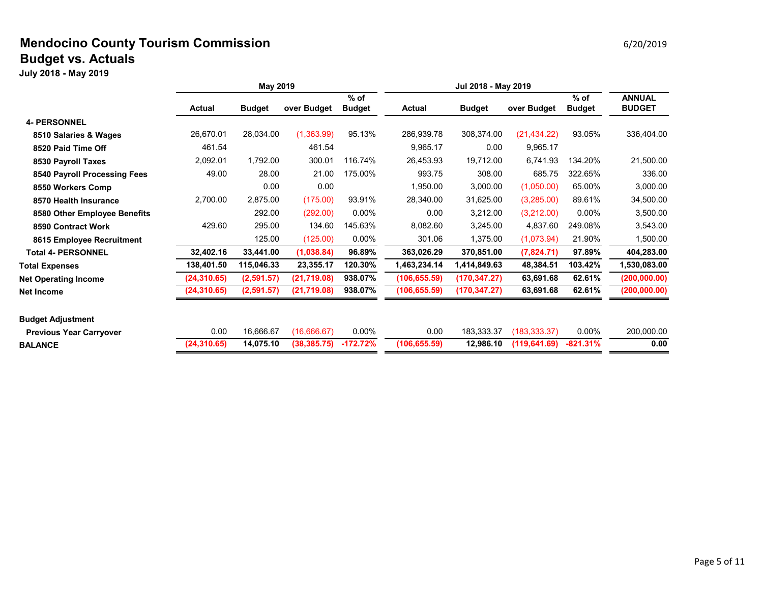#### **Mendocino County Tourism Commission Example 20 and Service 20 and Service 20 and Service 20 and Service 2012019 Budget vs. Actuals**

|                                | <b>May 2019</b> |               |              | Jul 2018 - May 2019     |               |               |               |                         |                                |
|--------------------------------|-----------------|---------------|--------------|-------------------------|---------------|---------------|---------------|-------------------------|--------------------------------|
|                                | <b>Actual</b>   | <b>Budget</b> | over Budget  | $%$ of<br><b>Budget</b> | <b>Actual</b> | <b>Budget</b> | over Budget   | $%$ of<br><b>Budget</b> | <b>ANNUAL</b><br><b>BUDGET</b> |
| <b>4- PERSONNEL</b>            |                 |               |              |                         |               |               |               |                         |                                |
| 8510 Salaries & Wages          | 26,670.01       | 28,034.00     | (1,363.99)   | 95.13%                  | 286,939.78    | 308,374.00    | (21, 434.22)  | 93.05%                  | 336,404.00                     |
| 8520 Paid Time Off             | 461.54          |               | 461.54       |                         | 9.965.17      | 0.00          | 9,965.17      |                         |                                |
| 8530 Payroll Taxes             | 2,092.01        | 1,792.00      | 300.01       | 116.74%                 | 26,453.93     | 19,712.00     | 6,741.93      | 134.20%                 | 21,500.00                      |
| 8540 Payroll Processing Fees   | 49.00           | 28.00         | 21.00        | 175.00%                 | 993.75        | 308.00        | 685.75        | 322.65%                 | 336.00                         |
| 8550 Workers Comp              |                 | 0.00          | 0.00         |                         | 1,950.00      | 3,000.00      | (1,050.00)    | 65.00%                  | 3,000.00                       |
| 8570 Health Insurance          | 2,700.00        | 2,875.00      | (175.00)     | 93.91%                  | 28,340.00     | 31,625.00     | (3,285.00)    | 89.61%                  | 34,500.00                      |
| 8580 Other Employee Benefits   |                 | 292.00        | (292.00)     | 0.00%                   | 0.00          | 3,212.00      | (3,212.00)    | $0.00\%$                | 3,500.00                       |
| 8590 Contract Work             | 429.60          | 295.00        | 134.60       | 145.63%                 | 8,082.60      | 3,245.00      | 4,837.60      | 249.08%                 | 3,543.00                       |
| 8615 Employee Recruitment      |                 | 125.00        | (125.00)     | $0.00\%$                | 301.06        | 1,375.00      | (1,073.94)    | 21.90%                  | 1,500.00                       |
| <b>Total 4- PERSONNEL</b>      | 32,402.16       | 33,441.00     | (1,038.84)   | 96.89%                  | 363,026.29    | 370,851.00    | (7,824.71)    | 97.89%                  | 404,283.00                     |
| <b>Total Expenses</b>          | 138,401.50      | 115,046.33    | 23,355.17    | 120.30%                 | 1,463,234.14  | 1,414,849.63  | 48,384.51     | 103.42%                 | 1,530,083.00                   |
| <b>Net Operating Income</b>    | (24,310.65)     | (2,591.57)    | (21,719.08)  | 938.07%                 | (106, 655.59) | (170, 347.27) | 63,691.68     | 62.61%                  | (200,000.00)                   |
| Net Income                     | (24,310.65)     | (2,591.57)    | (21, 719.08) | 938.07%                 | (106, 655.59) | (170, 347.27) | 63,691.68     | 62.61%                  | (200, 000.00)                  |
| <b>Budget Adjustment</b>       |                 |               |              |                         |               |               |               |                         |                                |
| <b>Previous Year Carryover</b> | 0.00            | 16,666.67     | (16,666.67)  | $0.00\%$                | 0.00          | 183.333.37    | (183.333.37)  | $0.00\%$                | 200,000.00                     |
| <b>BALANCE</b>                 | (24, 310.65)    | 14,075.10     | (38, 385.75) | $-172.72%$              | (106, 655.59) | 12,986.10     | (119, 641.69) | $-821.31%$              | 0.00                           |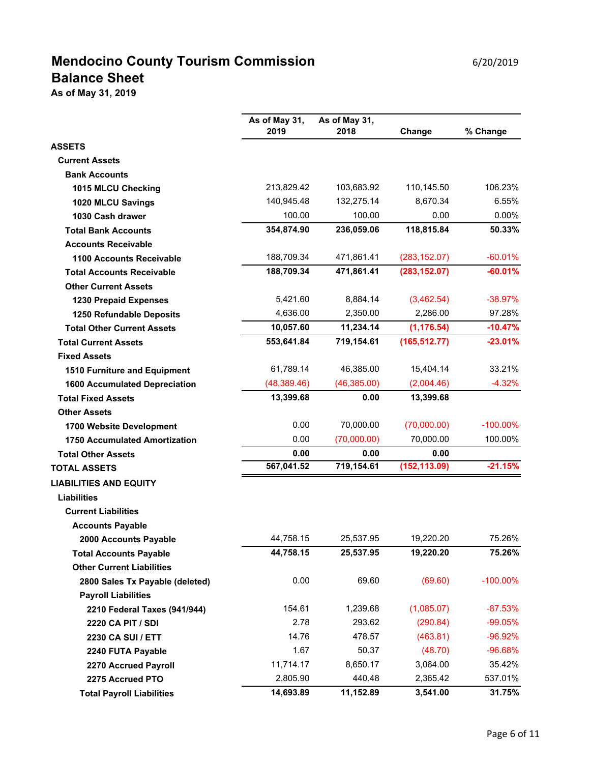# **Mendocino County Tourism Commission** 6/20/2019 **Balance Sheet**

**As of May 31, 2019**

|                                      | As of May 31,<br>2019 | As of May 31,<br>2018 | Change        | % Change    |
|--------------------------------------|-----------------------|-----------------------|---------------|-------------|
| <b>ASSETS</b>                        |                       |                       |               |             |
| <b>Current Assets</b>                |                       |                       |               |             |
| <b>Bank Accounts</b>                 |                       |                       |               |             |
| 1015 MLCU Checking                   | 213,829.42            | 103,683.92            | 110,145.50    | 106.23%     |
| 1020 MLCU Savings                    | 140,945.48            | 132,275.14            | 8,670.34      | 6.55%       |
| 1030 Cash drawer                     | 100.00                | 100.00                | 0.00          | 0.00%       |
| <b>Total Bank Accounts</b>           | 354,874.90            | 236,059.06            | 118,815.84    | 50.33%      |
| <b>Accounts Receivable</b>           |                       |                       |               |             |
| <b>1100 Accounts Receivable</b>      | 188,709.34            | 471,861.41            | (283, 152.07) | $-60.01%$   |
| <b>Total Accounts Receivable</b>     | 188,709.34            | 471,861.41            | (283, 152.07) | $-60.01%$   |
| <b>Other Current Assets</b>          |                       |                       |               |             |
| 1230 Prepaid Expenses                | 5,421.60              | 8,884.14              | (3,462.54)    | $-38.97%$   |
| 1250 Refundable Deposits             | 4,636.00              | 2,350.00              | 2,286.00      | 97.28%      |
| <b>Total Other Current Assets</b>    | 10,057.60             | 11,234.14             | (1, 176.54)   | $-10.47%$   |
| <b>Total Current Assets</b>          | 553,641.84            | 719,154.61            | (165, 512.77) | $-23.01%$   |
| <b>Fixed Assets</b>                  |                       |                       |               |             |
| <b>1510 Furniture and Equipment</b>  | 61,789.14             | 46,385.00             | 15,404.14     | 33.21%      |
| <b>1600 Accumulated Depreciation</b> | (48, 389.46)          | (46,385.00)           | (2,004.46)    | $-4.32%$    |
| <b>Total Fixed Assets</b>            | 13,399.68             | 0.00                  | 13,399.68     |             |
| <b>Other Assets</b>                  |                       |                       |               |             |
| 1700 Website Development             | 0.00                  | 70,000.00             | (70,000.00)   | $-100.00\%$ |
| <b>1750 Accumulated Amortization</b> | 0.00                  | (70,000.00)           | 70,000.00     | 100.00%     |
| <b>Total Other Assets</b>            | 0.00                  | 0.00                  | 0.00          |             |
| <b>TOTAL ASSETS</b>                  | 567,041.52            | 719,154.61            | (152, 113.09) | $-21.15%$   |
| <b>LIABILITIES AND EQUITY</b>        |                       |                       |               |             |
| <b>Liabilities</b>                   |                       |                       |               |             |
| <b>Current Liabilities</b>           |                       |                       |               |             |
| <b>Accounts Payable</b>              |                       |                       |               |             |
| 2000 Accounts Payable                | 44,758.15             | 25,537.95             | 19,220.20     | 75.26%      |
| <b>Total Accounts Payable</b>        | 44,758.15             | 25,537.95             | 19,220.20     | 75.26%      |
| <b>Other Current Liabilities</b>     |                       |                       |               |             |
| 2800 Sales Tx Payable (deleted)      | 0.00                  | 69.60                 | (69.60)       | $-100.00\%$ |
| <b>Payroll Liabilities</b>           |                       |                       |               |             |
| 2210 Federal Taxes (941/944)         | 154.61                | 1,239.68              | (1,085.07)    | $-87.53%$   |
| 2220 CA PIT / SDI                    | 2.78                  | 293.62                | (290.84)      | $-99.05%$   |
| <b>2230 CA SUI / ETT</b>             | 14.76                 | 478.57                | (463.81)      | $-96.92%$   |
| 2240 FUTA Payable                    | 1.67                  | 50.37                 | (48.70)       | $-96.68%$   |
| 2270 Accrued Payroll                 | 11,714.17             | 8,650.17              | 3,064.00      | 35.42%      |
| 2275 Accrued PTO                     | 2,805.90              | 440.48                | 2,365.42      | 537.01%     |
| <b>Total Payroll Liabilities</b>     | 14,693.89             | 11,152.89             | 3,541.00      | 31.75%      |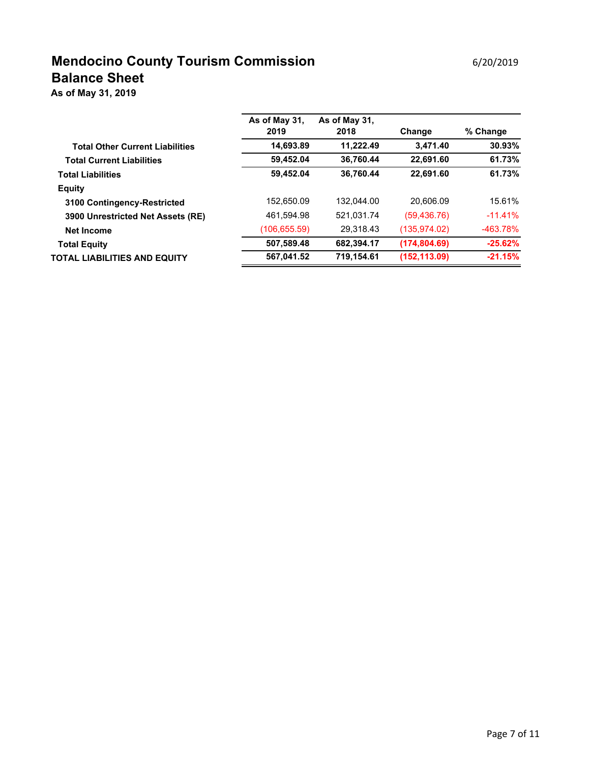# **Mendocino County Tourism Commission** 6/20/2019 **Balance Sheet**

**As of May 31, 2019**

|                                        | As of May 31,<br>2019 | As of May 31,<br>2018 | Change        | % Change   |
|----------------------------------------|-----------------------|-----------------------|---------------|------------|
| <b>Total Other Current Liabilities</b> | 14,693.89             | 11,222.49             | 3,471.40      | 30.93%     |
| <b>Total Current Liabilities</b>       | 59,452.04             | 36.760.44             | 22,691.60     | 61.73%     |
| <b>Total Liabilities</b>               | 59,452.04             | 36,760.44             | 22,691.60     | 61.73%     |
| <b>Equity</b>                          |                       |                       |               |            |
| 3100 Contingency-Restricted            | 152.650.09            | 132.044.00            | 20.606.09     | 15.61%     |
| 3900 Unrestricted Net Assets (RE)      | 461,594.98            | 521.031.74            | (59, 436.76)  | $-11.41%$  |
| <b>Net Income</b>                      | (106, 655.59)         | 29,318.43             | (135, 974.02) | $-463.78%$ |
| <b>Total Equity</b>                    | 507,589.48            | 682.394.17            | (174, 804.69) | $-25.62%$  |
| TOTAL LIABILITIES AND EQUITY           | 567,041.52            | 719,154.61            | (152, 113.09) | $-21.15%$  |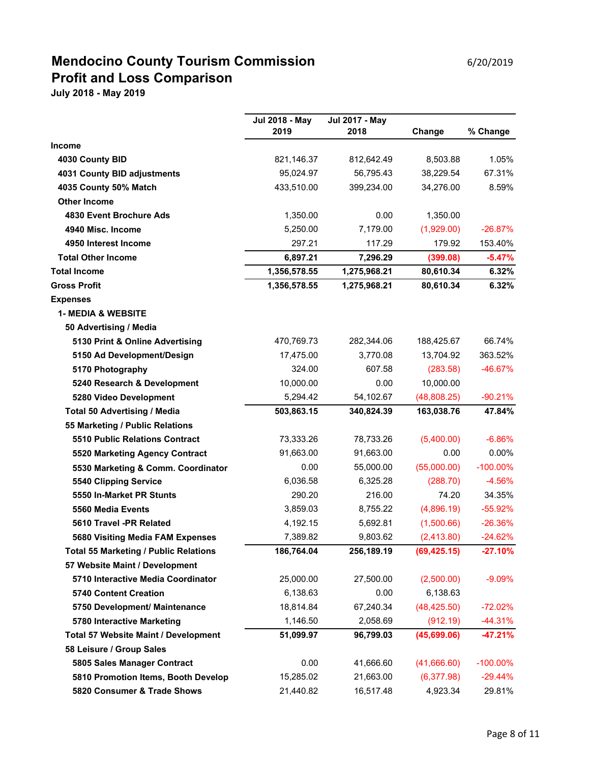# **Mendocino County Tourism Commission** 6/20/2019 **Profit and Loss Comparison**

|                                              | <b>Jul 2018 - May</b> | <b>Jul 2017 - May</b> |              |             |
|----------------------------------------------|-----------------------|-----------------------|--------------|-------------|
|                                              | 2019                  | 2018                  | Change       | % Change    |
| <b>Income</b>                                |                       |                       |              |             |
| 4030 County BID                              | 821,146.37            | 812,642.49            | 8,503.88     | 1.05%       |
| 4031 County BID adjustments                  | 95,024.97             | 56,795.43             | 38,229.54    | 67.31%      |
| 4035 County 50% Match                        | 433,510.00            | 399,234.00            | 34,276.00    | 8.59%       |
| <b>Other Income</b>                          |                       |                       |              |             |
| 4830 Event Brochure Ads                      | 1,350.00              | 0.00                  | 1,350.00     |             |
| 4940 Misc. Income                            | 5,250.00              | 7,179.00              | (1,929.00)   | $-26.87%$   |
| 4950 Interest Income                         | 297.21                | 117.29                | 179.92       | 153.40%     |
| <b>Total Other Income</b>                    | 6,897.21              | 7,296.29              | (399.08)     | $-5.47%$    |
| <b>Total Income</b>                          | 1,356,578.55          | 1,275,968.21          | 80,610.34    | 6.32%       |
| <b>Gross Profit</b>                          | 1,356,578.55          | 1,275,968.21          | 80,610.34    | 6.32%       |
| <b>Expenses</b>                              |                       |                       |              |             |
| <b>1- MEDIA &amp; WEBSITE</b>                |                       |                       |              |             |
| 50 Advertising / Media                       |                       |                       |              |             |
| 5130 Print & Online Advertising              | 470,769.73            | 282,344.06            | 188,425.67   | 66.74%      |
| 5150 Ad Development/Design                   | 17,475.00             | 3,770.08              | 13,704.92    | 363.52%     |
| 5170 Photography                             | 324.00                | 607.58                | (283.58)     | $-46.67%$   |
| 5240 Research & Development                  | 10,000.00             | 0.00                  | 10,000.00    |             |
| 5280 Video Development                       | 5,294.42              | 54,102.67             | (48,808.25)  | $-90.21%$   |
| <b>Total 50 Advertising / Media</b>          | 503,863.15            | 340,824.39            | 163,038.76   | 47.84%      |
| 55 Marketing / Public Relations              |                       |                       |              |             |
| <b>5510 Public Relations Contract</b>        | 73,333.26             | 78,733.26             | (5,400.00)   | $-6.86%$    |
| 5520 Marketing Agency Contract               | 91,663.00             | 91,663.00             | 0.00         | $0.00\%$    |
| 5530 Marketing & Comm. Coordinator           | 0.00                  | 55,000.00             | (55,000.00)  | $-100.00\%$ |
| 5540 Clipping Service                        | 6,036.58              | 6,325.28              | (288.70)     | $-4.56%$    |
| 5550 In-Market PR Stunts                     | 290.20                | 216.00                | 74.20        | 34.35%      |
| 5560 Media Events                            | 3,859.03              | 8,755.22              | (4,896.19)   | $-55.92%$   |
| 5610 Travel -PR Related                      | 4,192.15              | 5,692.81              | (1,500.66)   | $-26.36%$   |
| 5680 Visiting Media FAM Expenses             | 7,389.82              | 9,803.62              | (2,413.80)   | $-24.62%$   |
| <b>Total 55 Marketing / Public Relations</b> | 186,764.04            | 256,189.19            | (69, 425.15) | $-27.10%$   |
| 57 Website Maint / Development               |                       |                       |              |             |
| 5710 Interactive Media Coordinator           | 25,000.00             | 27,500.00             | (2,500.00)   | $-9.09%$    |
| <b>5740 Content Creation</b>                 | 6,138.63              | 0.00                  | 6,138.63     |             |
| 5750 Development/ Maintenance                | 18,814.84             | 67,240.34             | (48, 425.50) | $-72.02%$   |
| 5780 Interactive Marketing                   | 1,146.50              | 2,058.69              | (912.19)     | $-44.31%$   |
| <b>Total 57 Website Maint / Development</b>  | 51,099.97             | 96,799.03             | (45,699.06)  | $-47.21%$   |
| 58 Leisure / Group Sales                     |                       |                       |              |             |
| 5805 Sales Manager Contract                  | 0.00                  | 41,666.60             | (41,666.60)  | $-100.00\%$ |
| 5810 Promotion Items, Booth Develop          | 15,285.02             | 21,663.00             | (6,377.98)   | $-29.44%$   |
| 5820 Consumer & Trade Shows                  | 21,440.82             | 16,517.48             | 4,923.34     | 29.81%      |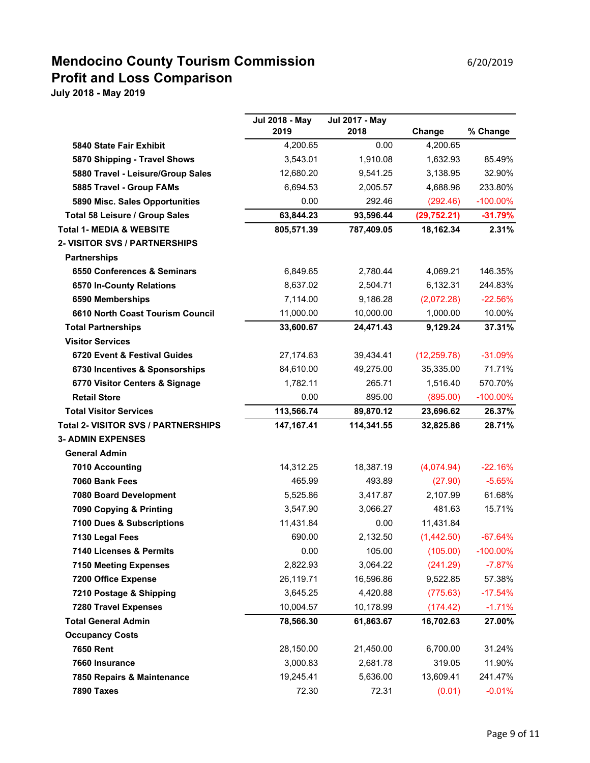## **Mendocino County Tourism Commission** 6/20/2019 **Profit and Loss Comparison**

|                                            | <b>Jul 2018 - May</b> | <b>Jul 2017 - May</b> |              |             |
|--------------------------------------------|-----------------------|-----------------------|--------------|-------------|
|                                            | 2019                  | 2018                  | Change       | % Change    |
| 5840 State Fair Exhibit                    | 4,200.65              | 0.00                  | 4,200.65     |             |
| 5870 Shipping - Travel Shows               | 3,543.01              | 1,910.08              | 1,632.93     | 85.49%      |
| 5880 Travel - Leisure/Group Sales          | 12,680.20             | 9,541.25              | 3,138.95     | 32.90%      |
| 5885 Travel - Group FAMs                   | 6,694.53              | 2,005.57              | 4,688.96     | 233.80%     |
| 5890 Misc. Sales Opportunities             | 0.00                  | 292.46                | (292.46)     | $-100.00\%$ |
| Total 58 Leisure / Group Sales             | 63,844.23             | 93,596.44             | (29, 752.21) | $-31.79%$   |
| <b>Total 1- MEDIA &amp; WEBSITE</b>        | 805,571.39            | 787,409.05            | 18,162.34    | 2.31%       |
| <b>2- VISITOR SVS / PARTNERSHIPS</b>       |                       |                       |              |             |
| <b>Partnerships</b>                        |                       |                       |              |             |
| 6550 Conferences & Seminars                | 6,849.65              | 2,780.44              | 4,069.21     | 146.35%     |
| 6570 In-County Relations                   | 8,637.02              | 2,504.71              | 6,132.31     | 244.83%     |
| 6590 Memberships                           | 7,114.00              | 9,186.28              | (2,072.28)   | $-22.56%$   |
| 6610 North Coast Tourism Council           | 11,000.00             | 10,000.00             | 1,000.00     | 10.00%      |
| <b>Total Partnerships</b>                  | 33,600.67             | 24,471.43             | 9,129.24     | 37.31%      |
| <b>Visitor Services</b>                    |                       |                       |              |             |
| 6720 Event & Festival Guides               | 27,174.63             | 39,434.41             | (12, 259.78) | $-31.09%$   |
| 6730 Incentives & Sponsorships             | 84,610.00             | 49,275.00             | 35,335.00    | 71.71%      |
| 6770 Visitor Centers & Signage             | 1,782.11              | 265.71                | 1,516.40     | 570.70%     |
| <b>Retail Store</b>                        | 0.00                  | 895.00                | (895.00)     | $-100.00\%$ |
| <b>Total Visitor Services</b>              | 113,566.74            | 89,870.12             | 23,696.62    | 26.37%      |
| <b>Total 2- VISITOR SVS / PARTNERSHIPS</b> | 147, 167. 41          | 114,341.55            | 32,825.86    | 28.71%      |
| <b>3- ADMIN EXPENSES</b>                   |                       |                       |              |             |
| <b>General Admin</b>                       |                       |                       |              |             |
| 7010 Accounting                            | 14,312.25             | 18,387.19             | (4,074.94)   | $-22.16%$   |
| 7060 Bank Fees                             | 465.99                | 493.89                | (27.90)      | $-5.65%$    |
| 7080 Board Development                     | 5,525.86              | 3,417.87              | 2,107.99     | 61.68%      |
| 7090 Copying & Printing                    | 3,547.90              | 3,066.27              | 481.63       | 15.71%      |
| 7100 Dues & Subscriptions                  | 11,431.84             | 0.00                  | 11,431.84    |             |
| 7130 Legal Fees                            | 690.00                | 2,132.50              | (1,442.50)   | $-67.64%$   |
| 7140 Licenses & Permits                    | 0.00                  | 105.00                | (105.00)     | $-100.00\%$ |
| <b>7150 Meeting Expenses</b>               | 2,822.93              | 3,064.22              | (241.29)     | $-7.87%$    |
| 7200 Office Expense                        | 26,119.71             | 16,596.86             | 9,522.85     | 57.38%      |
| 7210 Postage & Shipping                    | 3,645.25              | 4,420.88              | (775.63)     | $-17.54%$   |
| <b>7280 Travel Expenses</b>                | 10,004.57             | 10,178.99             | (174.42)     | $-1.71%$    |
| <b>Total General Admin</b>                 | 78,566.30             | 61,863.67             | 16,702.63    | 27.00%      |
| <b>Occupancy Costs</b>                     |                       |                       |              |             |
| <b>7650 Rent</b>                           | 28,150.00             | 21,450.00             | 6,700.00     | 31.24%      |
| 7660 Insurance                             | 3,000.83              | 2,681.78              | 319.05       | 11.90%      |
| 7850 Repairs & Maintenance                 | 19,245.41             | 5,636.00              | 13,609.41    | 241.47%     |
| 7890 Taxes                                 | 72.30                 | 72.31                 | (0.01)       | $-0.01%$    |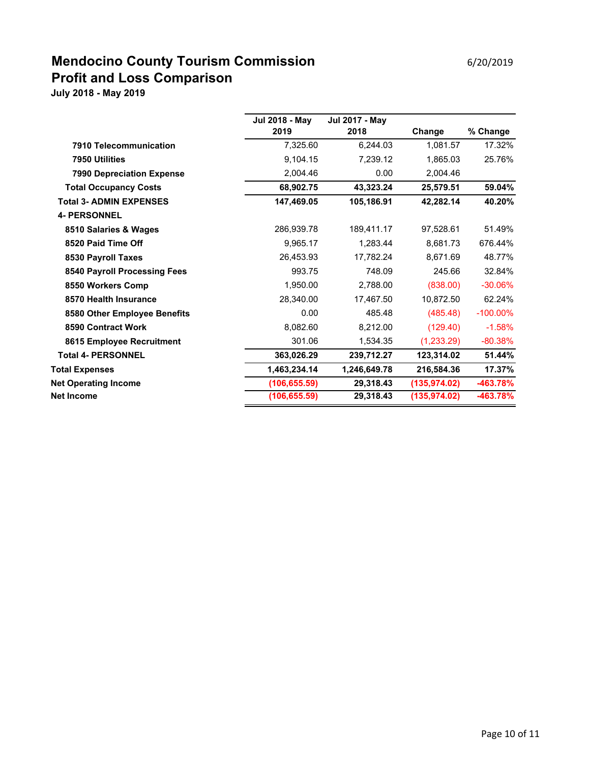## **Mendocino County Tourism Commission** 6/20/2019 **Profit and Loss Comparison**

|                                  | Jul 2018 - May | <b>Jul 2017 - May</b> |               |             |
|----------------------------------|----------------|-----------------------|---------------|-------------|
|                                  | 2019           | 2018                  | Change        | % Change    |
| 7910 Telecommunication           | 7,325.60       | 6,244.03              | 1,081.57      | 17.32%      |
| 7950 Utilities                   | 9,104.15       | 7,239.12              | 1,865.03      | 25.76%      |
| <b>7990 Depreciation Expense</b> | 2,004.46       | 0.00                  | 2,004.46      |             |
| <b>Total Occupancy Costs</b>     | 68,902.75      | 43,323.24             | 25,579.51     | 59.04%      |
| <b>Total 3- ADMIN EXPENSES</b>   | 147,469.05     | 105,186.91            | 42,282.14     | 40.20%      |
| <b>4- PERSONNEL</b>              |                |                       |               |             |
| 8510 Salaries & Wages            | 286,939.78     | 189,411.17            | 97,528.61     | 51.49%      |
| 8520 Paid Time Off               | 9,965.17       | 1,283.44              | 8,681.73      | 676.44%     |
| 8530 Payroll Taxes               | 26,453.93      | 17,782.24             | 8,671.69      | 48.77%      |
| 8540 Payroll Processing Fees     | 993.75         | 748.09                | 245.66        | 32.84%      |
| 8550 Workers Comp                | 1,950.00       | 2,788.00              | (838.00)      | $-30.06%$   |
| 8570 Health Insurance            | 28,340.00      | 17,467.50             | 10,872.50     | 62.24%      |
| 8580 Other Employee Benefits     | 0.00           | 485.48                | (485.48)      | $-100.00\%$ |
| 8590 Contract Work               | 8,082.60       | 8,212.00              | (129.40)      | $-1.58%$    |
| 8615 Employee Recruitment        | 301.06         | 1,534.35              | (1,233.29)    | $-80.38%$   |
| <b>Total 4- PERSONNEL</b>        | 363,026.29     | 239,712.27            | 123,314.02    | 51.44%      |
| <b>Total Expenses</b>            | 1,463,234.14   | 1,246,649.78          | 216,584.36    | 17.37%      |
| <b>Net Operating Income</b>      | (106, 655.59)  | 29,318.43             | (135, 974.02) | -463.78%    |
| <b>Net Income</b>                | (106, 655.59)  | 29,318.43             | (135, 974.02) | -463.78%    |